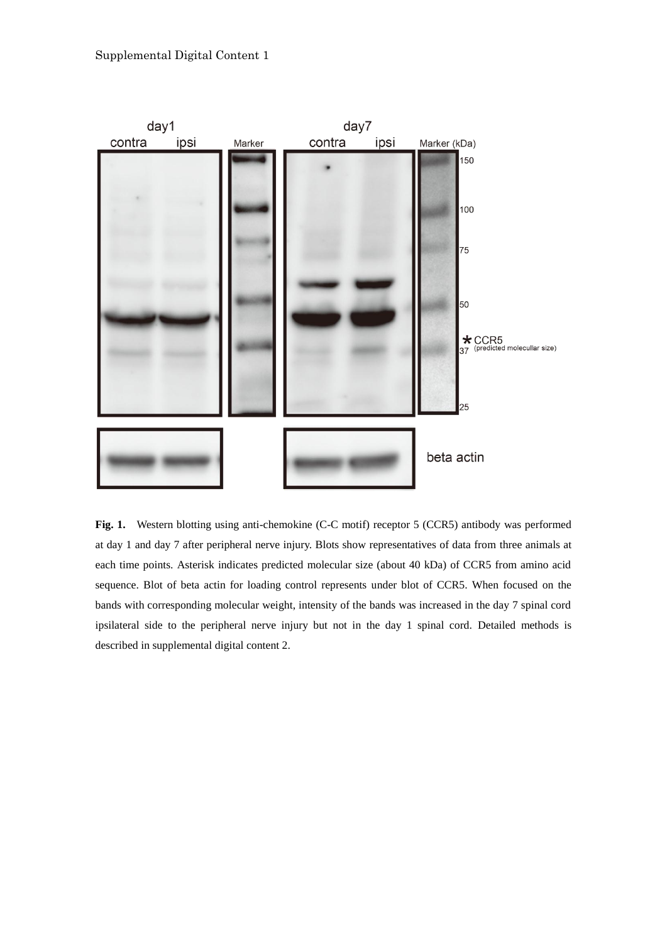

**Fig. 1.** Western blotting using anti-chemokine (C-C motif) receptor 5 (CCR5) antibody was performed at day 1 and day 7 after peripheral nerve injury. Blots show representatives of data from three animals at each time points. Asterisk indicates predicted molecular size (about 40 kDa) of CCR5 from amino acid sequence. Blot of beta actin for loading control represents under blot of CCR5. When focused on the bands with corresponding molecular weight, intensity of the bands was increased in the day 7 spinal cord ipsilateral side to the peripheral nerve injury but not in the day 1 spinal cord. Detailed methods is described in supplemental digital content 2.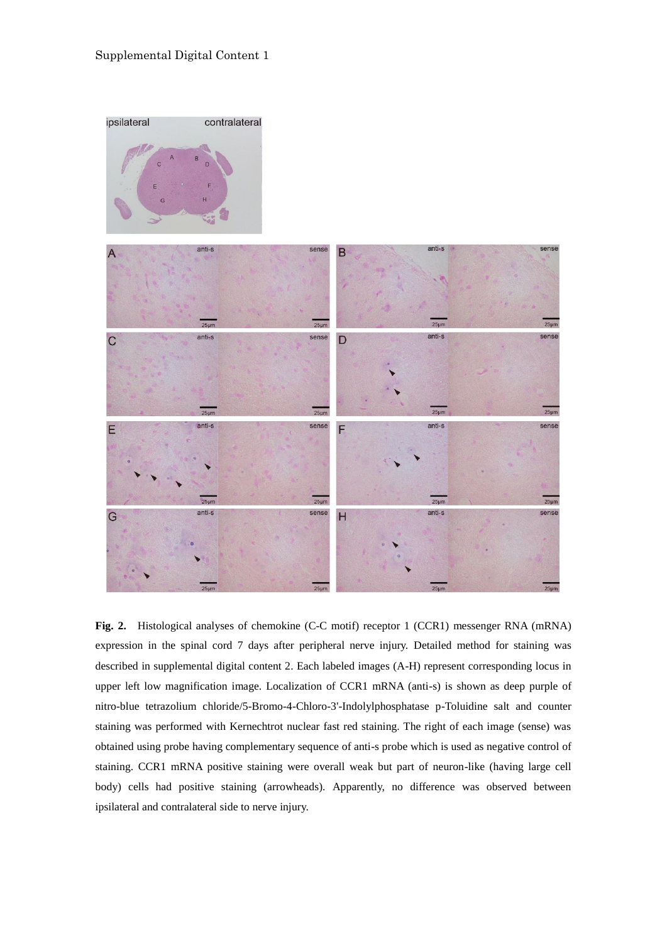

**Fig. 2.** Histological analyses of chemokine (C-C motif) receptor 1 (CCR1) messenger RNA (mRNA) expression in the spinal cord 7 days after peripheral nerve injury. Detailed method for staining was described in supplemental digital content 2. Each labeled images (A-H) represent corresponding locus in upper left low magnification image. Localization of CCR1 mRNA (anti-s) is shown as deep purple of nitro-blue tetrazolium chloride/5-Bromo-4-Chloro-3'-Indolylphosphatase p-Toluidine salt and counter staining was performed with Kernechtrot nuclear fast red staining. The right of each image (sense) was obtained using probe having complementary sequence of anti-s probe which is used as negative control of staining. CCR1 mRNA positive staining were overall weak but part of neuron-like (having large cell body) cells had positive staining (arrowheads). Apparently, no difference was observed between ipsilateral and contralateral side to nerve injury.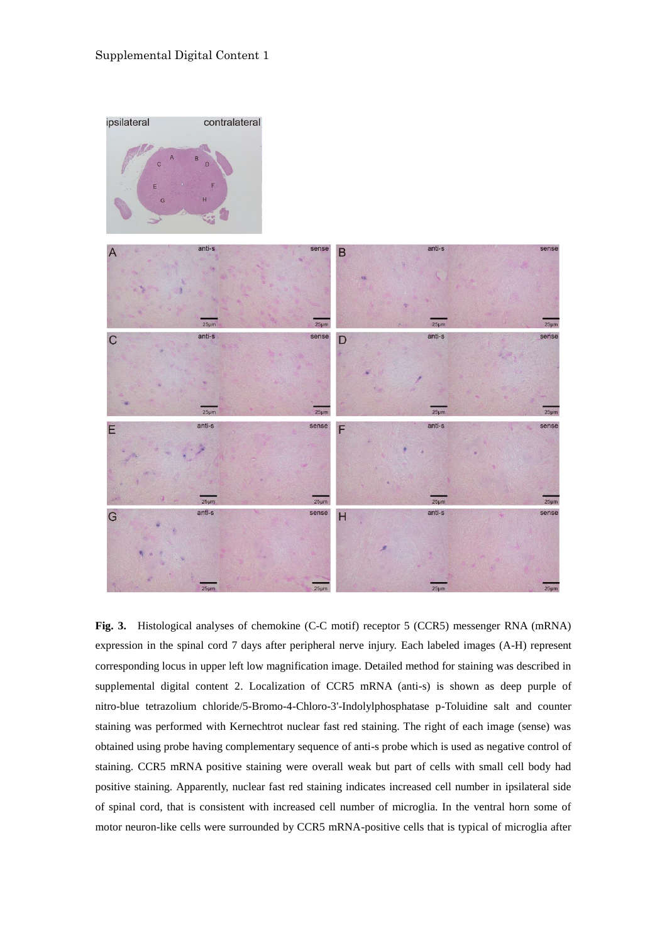

**Fig. 3.** Histological analyses of chemokine (C-C motif) receptor 5 (CCR5) messenger RNA (mRNA) expression in the spinal cord 7 days after peripheral nerve injury. Each labeled images (A-H) represent corresponding locus in upper left low magnification image. Detailed method for staining was described in supplemental digital content 2. Localization of CCR5 mRNA (anti-s) is shown as deep purple of nitro-blue tetrazolium chloride/5-Bromo-4-Chloro-3'-Indolylphosphatase p-Toluidine salt and counter staining was performed with Kernechtrot nuclear fast red staining. The right of each image (sense) was obtained using probe having complementary sequence of anti-s probe which is used as negative control of staining. CCR5 mRNA positive staining were overall weak but part of cells with small cell body had positive staining. Apparently, nuclear fast red staining indicates increased cell number in ipsilateral side of spinal cord, that is consistent with increased cell number of microglia. In the ventral horn some of motor neuron-like cells were surrounded by CCR5 mRNA-positive cells that is typical of microglia after